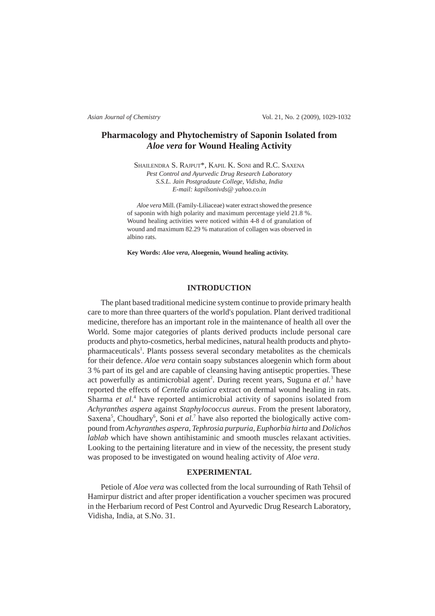*Asian Journal of Chemistry* Vol. 21, No. 2 (2009), 1029-1032

# **Pharmacology and Phytochemistry of Saponin Isolated from** *Aloe vera* **for Wound Healing Activity**

SHAILENDRA S. RAJPUT\*, KAPIL K. SONI and R.C. SAXENA *Pest Control and Ayurvedic Drug Research Laboratory S.S.L. Jain Postgradaute College, Vidisha, India E-mail: kapilsonivds@ yahoo.co.in*

*Aloe vera* Mill. (Family-Liliaceae) water extract showed the presence of saponin with high polarity and maximum percentage yield 21.8 %. Wound healing activities were noticed within 4-8 d of granulation of wound and maximum 82.29 % maturation of collagen was observed in albino rats.

**Key Words:** *Aloe vera***, Aloegenin, Wound healing activity.**

### **INTRODUCTION**

The plant based traditional medicine system continue to provide primary health care to more than three quarters of the world's population. Plant derived traditional medicine, therefore has an important role in the maintenance of health all over the World. Some major categories of plants derived products include personal care products and phyto-cosmetics, herbal medicines, natural health products and phytopharmaceuticals<sup>1</sup>. Plants possess several secondary metabolites as the chemicals for their defence. *Aloe vera* contain soapy substances aloegenin which form about 3 % part of its gel and are capable of cleansing having antiseptic properties. These act powerfully as antimicrobial agent<sup>2</sup>. During recent years, Suguna et al.<sup>3</sup> have reported the effects of *Centella asiatica* extract on dermal wound healing in rats. Sharma et al.<sup>4</sup> have reported antimicrobial activity of saponins isolated from *Achyranthes aspera* against *Staphylococcus aureus*. From the present laboratory, Saxena<sup>5</sup>, Choudhary<sup>6</sup>, Soni et al.<sup>7</sup> have also reported the biologically active compound from *Achyranthes aspera, Tephrosia purpuria, Euphorbia hirta* and *Dolichos lablab* which have shown antihistaminic and smooth muscles relaxant activities. Looking to the pertaining literature and in view of the necessity, the present study was proposed to be investigated on wound healing activity of *Aloe vera*.

## **EXPERIMENTAL**

Petiole of *Aloe vera* was collected from the local surrounding of Rath Tehsil of Hamirpur district and after proper identification a voucher specimen was procured in the Herbarium record of Pest Control and Ayurvedic Drug Research Laboratory, Vidisha, India, at S.No. 31.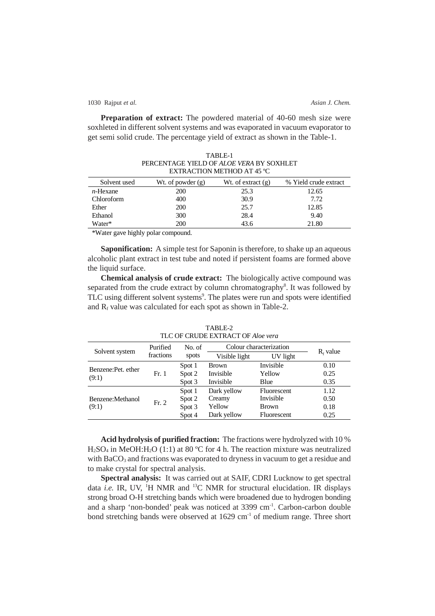1030 Rajput *et al. Asian J. Chem.*

Water\*

21.80

**Preparation of extract:** The powdered material of 40-60 mesh size were soxhleted in different solvent systems and was evaporated in vacuum evaporator to get semi solid crude. The percentage yield of extract as shown in the Table-1.

| PERCENTAGE YIELD OF ALOE VERA BY SOXHLET<br>EXTRACTION METHOD AT 45 °C |                     |                      |                       |  |  |  |
|------------------------------------------------------------------------|---------------------|----------------------|-----------------------|--|--|--|
| Solvent used                                                           | Wt. of powder $(g)$ | Wt. of extract $(g)$ | % Yield crude extract |  |  |  |
| $n$ -Hexane                                                            | 200                 | 25.3                 | 12.65                 |  |  |  |
| Chloroform                                                             | 400                 | 30.9                 | 7.72                  |  |  |  |
| Ether                                                                  | 200                 | 25.7                 | 12.85                 |  |  |  |
| Ethanol                                                                | 300                 | 28.4                 | 9.40                  |  |  |  |

TABLE-1

\*Water gave highly polar compound.

200

**Saponification:** A simple test for Saponin is therefore, to shake up an aqueous alcoholic plant extract in test tube and noted if persistent foams are formed above the liquid surface.

43.6

**Chemical analysis of crude extract:** The biologically active compound was separated from the crude extract by column chromatography<sup>8</sup>. It was followed by TLC using different solvent systems<sup>9</sup>. The plates were run and spots were identified and  $R_f$  value was calculated for each spot as shown in Table-2.

|                             | Purified<br>fractions | No. of<br>spots | Colour characterization |              |             |
|-----------------------------|-----------------------|-----------------|-------------------------|--------------|-------------|
| Solvent system              |                       |                 | Visible light           | UV light     | $R_f$ value |
| Benzene:Pet. ether<br>(9:1) | Fr. 1                 | Spot 1          | <b>Brown</b>            | Invisible    | 0.10        |
|                             |                       | Spot 2          | Invisible               | Yellow       | 0.25        |
|                             |                       | Spot 3          | Invisible               | Blue         | 0.35        |
|                             | Fr. 2                 | Spot 1          | Dark yellow             | Fluorescent  | 1.12        |
| Benzene: Methanol           |                       | Spot 2          | Creamy                  | Invisible    | 0.50        |
| (9:1)                       |                       | Spot 3          | Yellow                  | <b>Brown</b> | 0.18        |
|                             |                       | Spot 4          | Dark yellow             | Fluorescent  | 0.25        |

TABLE-2 TLC OF CRUDE EXTRACT OF *Aloe vera* 

**Acid hydrolysis of purified fraction:** The fractions were hydrolyzed with 10 %  $H_2SO_4$  in MeOH: $H_2O$  (1:1) at 80 °C for 4 h. The reaction mixture was neutralized with BaCO<sub>3</sub> and fractions was evaporated to dryness in vacuum to get a residue and to make crystal for spectral analysis.

**Spectral analysis:** It was carried out at SAIF, CDRI Lucknow to get spectral data *i.e.* IR, UV, <sup>1</sup>H NMR and <sup>13</sup>C NMR for structural elucidation. IR displays strong broad O-H stretching bands which were broadened due to hydrogen bonding and a sharp 'non-bonded' peak was noticed at 3399 cm<sup>-1</sup>. Carbon-carbon double bond stretching bands were observed at 1629 cm<sup>-1</sup> of medium range. Three short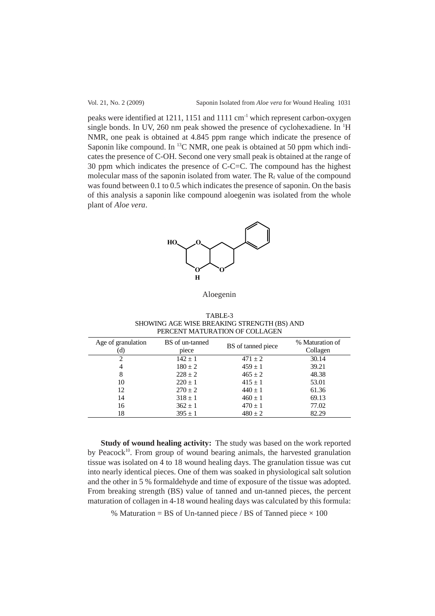peaks were identified at 1211, 1151 and 1111 cm<sup>-1</sup> which represent carbon-oxygen single bonds. In UV, 260 nm peak showed the presence of cyclohexadiene. In <sup>1</sup>H NMR, one peak is obtained at 4.845 ppm range which indicate the presence of Saponin like compound. In  $^{13}$ C NMR, one peak is obtained at 50 ppm which indicates the presence of C-OH. Second one very small peak is obtained at the range of 30 ppm which indicates the presence of C-C=C. The compound has the highest molecular mass of the saponin isolated from water. The  $R_f$  value of the compound was found between 0.1 to 0.5 which indicates the presence of saponin. On the basis of this analysis a saponin like compound aloegenin was isolated from the whole plant of *Aloe vera*.



Aloegenin

TABLE-3 SHOWING AGE WISE BREAKING STRENGTH (BS) AND PERCENT MATURATION OF COLLAGEN

| Age of granulation<br>(d) | BS of un-tanned<br>piece | BS of tanned piece | % Maturation of<br>Collagen |
|---------------------------|--------------------------|--------------------|-----------------------------|
|                           | $142 \pm 1$              | $471 + 2$          | 30.14                       |
| 4                         | $180 \pm 2$              | $459 + 1$          | 39.21                       |
| 8                         | $228 \pm 2$              | $465 \pm 2$        | 48.38                       |
| 10                        | $220 \pm 1$              | $415 \pm 1$        | 53.01                       |
| 12                        | $270 \pm 2$              | $440 \pm 1$        | 61.36                       |
| 14                        | $318 \pm 1$              | $460 \pm 1$        | 69.13                       |
| 16                        | $362 \pm 1$              | $470 \pm 1$        | 77.02                       |
| 18                        | $395 \pm 1$              | $480 \pm 2$        | 82.29                       |

**Study of wound healing activity:** The study was based on the work reported by Peacock<sup>10</sup>. From group of wound bearing animals, the harvested granulation tissue was isolated on 4 to 18 wound healing days. The granulation tissue was cut into nearly identical pieces. One of them was soaked in physiological salt solution and the other in 5 % formaldehyde and time of exposure of the tissue was adopted. From breaking strength (BS) value of tanned and un-tanned pieces, the percent maturation of collagen in 4-18 wound healing days was calculated by this formula:

% Maturation = BS of Un-tanned piece / BS of Tanned piece  $\times$  100